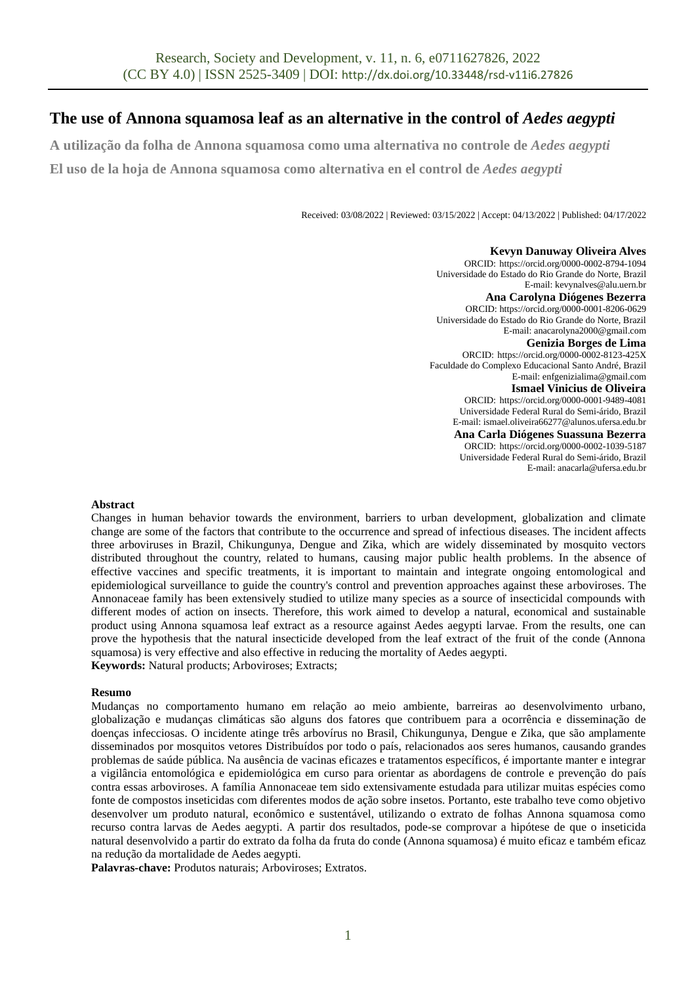# **The use of Annona squamosa leaf as an alternative in the control of** *Aedes aegypti*

**A utilização da folha de Annona squamosa como uma alternativa no controle de** *Aedes aegypti*

**El uso de la hoja de Annona squamosa como alternativa en el control de** *Aedes aegypti*

Received: 03/08/2022 | Reviewed: 03/15/2022 | Accept: 04/13/2022 | Published: 04/17/2022

**Kevyn Danuway Oliveira Alves** ORCID: https://orcid.org/0000-0002-8794-1094 Universidade do Estado do Rio Grande do Norte, Brazil E-mail: kevynalves@alu.uern.br **Ana Carolyna Diógenes Bezerra** ORCID: https://orcid.org/0000-0001-8206-0629 Universidade do Estado do Rio Grande do Norte, Brazil E-mail[: anacarolyna2000@gmail.com](mailto:anacarolyna2000@gmail.com) **Genizia Borges de Lima** ORCID: https://orcid.org/0000-0002-8123-425X Faculdade do Complexo Educacional Santo André, Brazil E-mail[: enfgenizialima@gmail.com](mailto:enfgenizialima@gmail.com) **Ismael Vinicius de Oliveira** ORCID: https://orcid.org/0000-0001-9489-4081 Universidade Federal Rural do Semi-árido, Brazil E-mail: [ismael.oliveira66277@alunos.ufersa.edu.br](mailto:ismael.oliveira66277@alunos.ufersa.edu.br) **Ana Carla Diógenes Suassuna Bezerra** ORCID: https://orcid.org/0000-0002-1039-5187 Universidade Federal Rural do Semi-árido, Brazil E-mail[: anacarla@ufersa.edu.br](mailto:anacarla@ufersa.edu.br)

### **Abstract**

Changes in human behavior towards the environment, barriers to urban development, globalization and climate change are some of the factors that contribute to the occurrence and spread of infectious diseases. The incident affects three arboviruses in Brazil, Chikungunya, Dengue and Zika, which are widely disseminated by mosquito vectors distributed throughout the country, related to humans, causing major public health problems. In the absence of effective vaccines and specific treatments, it is important to maintain and integrate ongoing entomological and epidemiological surveillance to guide the country's control and prevention approaches against these arboviroses. The Annonaceae family has been extensively studied to utilize many species as a source of insecticidal compounds with different modes of action on insects. Therefore, this work aimed to develop a natural, economical and sustainable product using Annona squamosa leaf extract as a resource against Aedes aegypti larvae. From the results, one can prove the hypothesis that the natural insecticide developed from the leaf extract of the fruit of the conde (Annona squamosa) is very effective and also effective in reducing the mortality of Aedes aegypti. **Keywords:** Natural products; Arboviroses; Extracts;

### **Resumo**

Mudanças no comportamento humano em relação ao meio ambiente, barreiras ao desenvolvimento urbano, globalização e mudanças climáticas são alguns dos fatores que contribuem para a ocorrência e disseminação de doenças infecciosas. O incidente atinge três arbovírus no Brasil, Chikungunya, Dengue e Zika, que são amplamente disseminados por mosquitos vetores Distribuídos por todo o país, relacionados aos seres humanos, causando grandes problemas de saúde pública. Na ausência de vacinas eficazes e tratamentos específicos, é importante manter e integrar a vigilância entomológica e epidemiológica em curso para orientar as abordagens de controle e prevenção do país contra essas arboviroses. A família Annonaceae tem sido extensivamente estudada para utilizar muitas espécies como fonte de compostos inseticidas com diferentes modos de ação sobre insetos. Portanto, este trabalho teve como objetivo desenvolver um produto natural, econômico e sustentável, utilizando o extrato de folhas Annona squamosa como recurso contra larvas de Aedes aegypti. A partir dos resultados, pode-se comprovar a hipótese de que o inseticida natural desenvolvido a partir do extrato da folha da fruta do conde (Annona squamosa) é muito eficaz e também eficaz na redução da mortalidade de Aedes aegypti.

**Palavras-chave:** Produtos naturais; Arboviroses; Extratos.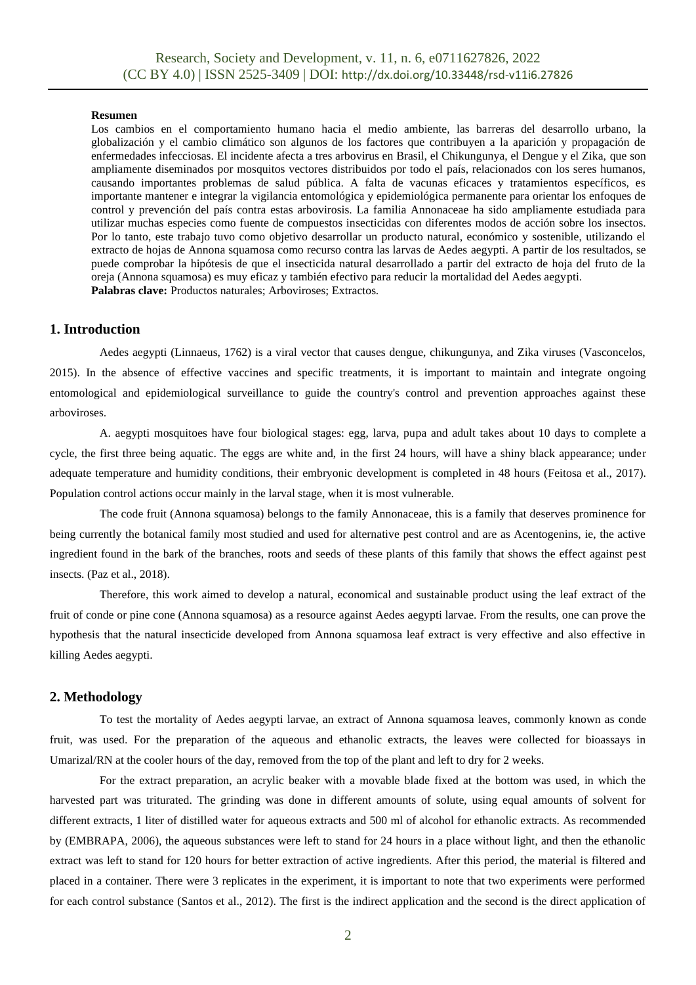### **Resumen**

Los cambios en el comportamiento humano hacia el medio ambiente, las barreras del desarrollo urbano, la globalización y el cambio climático son algunos de los factores que contribuyen a la aparición y propagación de enfermedades infecciosas. El incidente afecta a tres arbovirus en Brasil, el Chikungunya, el Dengue y el Zika, que son ampliamente diseminados por mosquitos vectores distribuidos por todo el país, relacionados con los seres humanos, causando importantes problemas de salud pública. A falta de vacunas eficaces y tratamientos específicos, es importante mantener e integrar la vigilancia entomológica y epidemiológica permanente para orientar los enfoques de control y prevención del país contra estas arbovirosis. La familia Annonaceae ha sido ampliamente estudiada para utilizar muchas especies como fuente de compuestos insecticidas con diferentes modos de acción sobre los insectos. Por lo tanto, este trabajo tuvo como objetivo desarrollar un producto natural, económico y sostenible, utilizando el extracto de hojas de Annona squamosa como recurso contra las larvas de Aedes aegypti. A partir de los resultados, se puede comprobar la hipótesis de que el insecticida natural desarrollado a partir del extracto de hoja del fruto de la oreja (Annona squamosa) es muy eficaz y también efectivo para reducir la mortalidad del Aedes aegypti. **Palabras clave:** Productos naturales; Arboviroses; Extractos.

# **1. Introduction**

Aedes aegypti (Linnaeus, 1762) is a viral vector that causes dengue, chikungunya, and Zika viruses (Vasconcelos, 2015). In the absence of effective vaccines and specific treatments, it is important to maintain and integrate ongoing entomological and epidemiological surveillance to guide the country's control and prevention approaches against these arboviroses.

A. aegypti mosquitoes have four biological stages: egg, larva, pupa and adult takes about 10 days to complete a cycle, the first three being aquatic. The eggs are white and, in the first 24 hours, will have a shiny black appearance; under adequate temperature and humidity conditions, their embryonic development is completed in 48 hours (Feitosa et al., 2017). Population control actions occur mainly in the larval stage, when it is most vulnerable.

The code fruit (Annona squamosa) belongs to the family Annonaceae, this is a family that deserves prominence for being currently the botanical family most studied and used for alternative pest control and are as Acentogenins, ie, the active ingredient found in the bark of the branches, roots and seeds of these plants of this family that shows the effect against pest insects. (Paz et al., 2018).

Therefore, this work aimed to develop a natural, economical and sustainable product using the leaf extract of the fruit of conde or pine cone (Annona squamosa) as a resource against Aedes aegypti larvae. From the results, one can prove the hypothesis that the natural insecticide developed from Annona squamosa leaf extract is very effective and also effective in killing Aedes aegypti.

## **2. Methodology**

To test the mortality of Aedes aegypti larvae, an extract of Annona squamosa leaves, commonly known as conde fruit, was used. For the preparation of the aqueous and ethanolic extracts, the leaves were collected for bioassays in Umarizal/RN at the cooler hours of the day, removed from the top of the plant and left to dry for 2 weeks.

For the extract preparation, an acrylic beaker with a movable blade fixed at the bottom was used, in which the harvested part was triturated. The grinding was done in different amounts of solute, using equal amounts of solvent for different extracts, 1 liter of distilled water for aqueous extracts and 500 ml of alcohol for ethanolic extracts. As recommended by (EMBRAPA, 2006), the aqueous substances were left to stand for 24 hours in a place without light, and then the ethanolic extract was left to stand for 120 hours for better extraction of active ingredients. After this period, the material is filtered and placed in a container. There were 3 replicates in the experiment, it is important to note that two experiments were performed for each control substance (Santos et al., 2012). The first is the indirect application and the second is the direct application of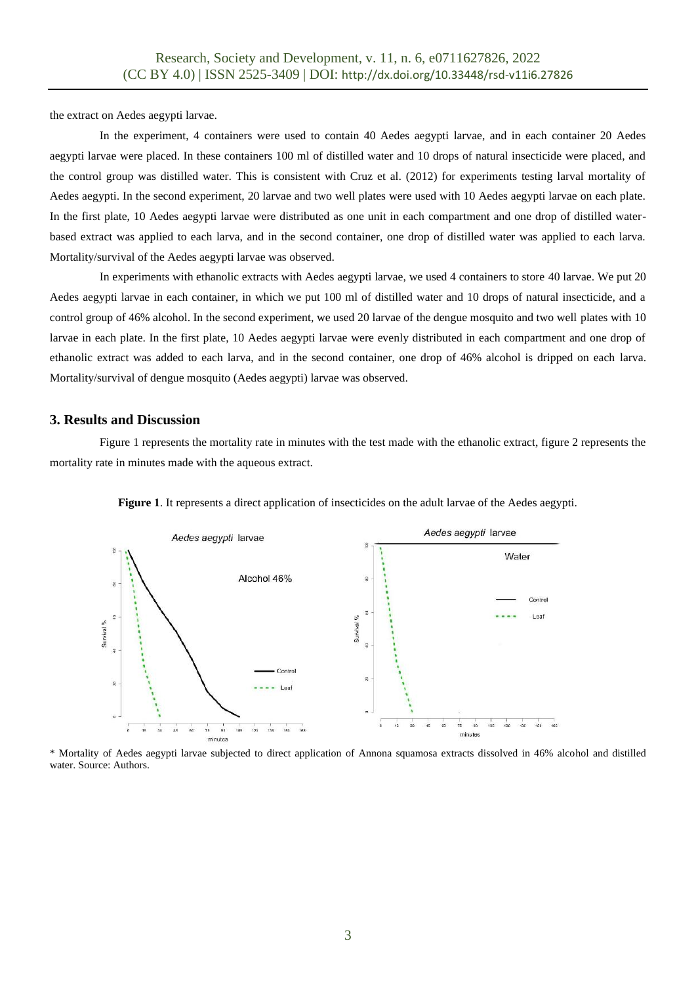the extract on Aedes aegypti larvae.

In the experiment, 4 containers were used to contain 40 Aedes aegypti larvae, and in each container 20 Aedes aegypti larvae were placed. In these containers 100 ml of distilled water and 10 drops of natural insecticide were placed, and the control group was distilled water. This is consistent with Cruz et al. (2012) for experiments testing larval mortality of Aedes aegypti. In the second experiment, 20 larvae and two well plates were used with 10 Aedes aegypti larvae on each plate. In the first plate, 10 Aedes aegypti larvae were distributed as one unit in each compartment and one drop of distilled waterbased extract was applied to each larva, and in the second container, one drop of distilled water was applied to each larva. Mortality/survival of the Aedes aegypti larvae was observed.

In experiments with ethanolic extracts with Aedes aegypti larvae, we used 4 containers to store 40 larvae. We put 20 Aedes aegypti larvae in each container, in which we put 100 ml of distilled water and 10 drops of natural insecticide, and a control group of 46% alcohol. In the second experiment, we used 20 larvae of the dengue mosquito and two well plates with 10 larvae in each plate. In the first plate, 10 Aedes aegypti larvae were evenly distributed in each compartment and one drop of ethanolic extract was added to each larva, and in the second container, one drop of 46% alcohol is dripped on each larva. Mortality/survival of dengue mosquito (Aedes aegypti) larvae was observed.

## **3. Results and Discussion**

Figure 1 represents the mortality rate in minutes with the test made with the ethanolic extract, figure 2 represents the mortality rate in minutes made with the aqueous extract.



**Figure 1**. It represents a direct application of insecticides on the adult larvae of the Aedes aegypti.

\* Mortality of Aedes aegypti larvae subjected to direct application of Annona squamosa extracts dissolved in 46% alcohol and distilled water. Source: Authors.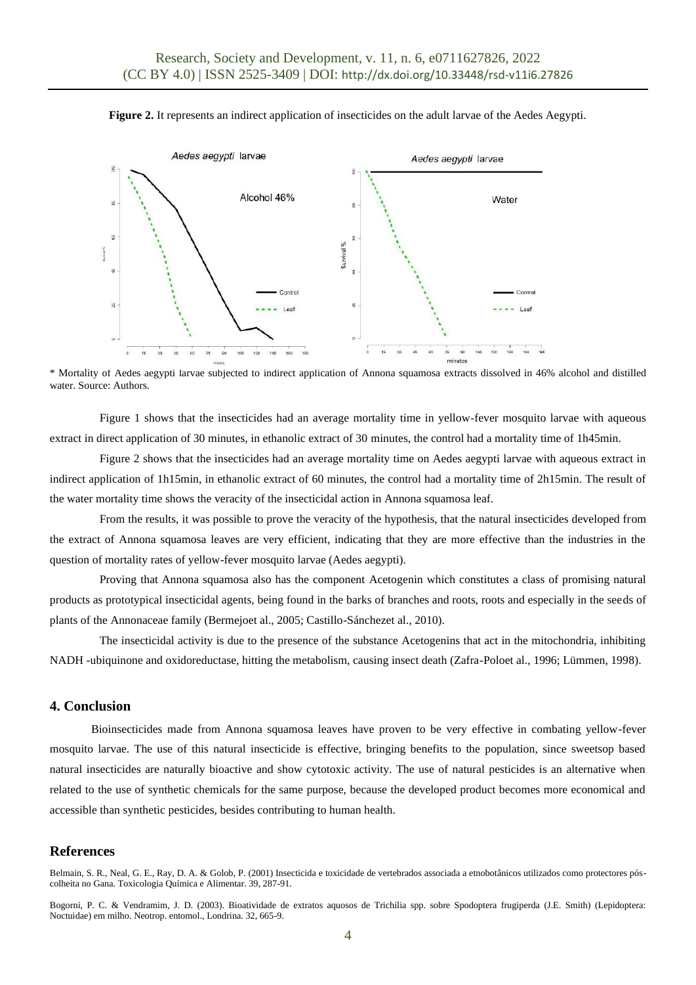



\* Mortality of Aedes aegypti larvae subjected to indirect application of Annona squamosa extracts dissolved in 46% alcohol and distilled water. Source: Authors.

Figure 1 shows that the insecticides had an average mortality time in yellow-fever mosquito larvae with aqueous extract in direct application of 30 minutes, in ethanolic extract of 30 minutes, the control had a mortality time of 1h45min.

Figure 2 shows that the insecticides had an average mortality time on Aedes aegypti larvae with aqueous extract in indirect application of 1h15min, in ethanolic extract of 60 minutes, the control had a mortality time of 2h15min. The result of the water mortality time shows the veracity of the insecticidal action in Annona squamosa leaf.

From the results, it was possible to prove the veracity of the hypothesis, that the natural insecticides developed from the extract of Annona squamosa leaves are very efficient, indicating that they are more effective than the industries in the question of mortality rates of yellow-fever mosquito larvae (Aedes aegypti).

Proving that Annona squamosa also has the component Acetogenin which constitutes a class of promising natural products as prototypical insecticidal agents, being found in the barks of branches and roots, roots and especially in the seeds of plants of the Annonaceae family (Bermejoet al., 2005; Castillo-Sánchezet al., 2010).

The insecticidal activity is due to the presence of the substance Acetogenins that act in the mitochondria, inhibiting NADH -ubiquinone and oxidoreductase, hitting the metabolism, causing insect death (Zafra-Poloet al., 1996; Lümmen, 1998).

## **4. Conclusion**

Bioinsecticides made from Annona squamosa leaves have proven to be very effective in combating yellow-fever mosquito larvae. The use of this natural insecticide is effective, bringing benefits to the population, since sweetsop based natural insecticides are naturally bioactive and show cytotoxic activity. The use of natural pesticides is an alternative when related to the use of synthetic chemicals for the same purpose, because the developed product becomes more economical and accessible than synthetic pesticides, besides contributing to human health.

# **References**

Belmain, S. R., Neal, G. E., Ray, D. A. & Golob, P. (2001) Insecticida e toxicidade de vertebrados associada a etnobotânicos utilizados como protectores póscolheita no Gana. Toxicologia Química e Alimentar. 39, 287-91.

Bogorni, P. C. & Vendramim, J. D. (2003). Bioatividade de extratos aquosos de Trichilia spp. sobre Spodoptera frugiperda (J.E. Smith) (Lepidoptera: Noctuidae) em milho. Neotrop. entomol., Londrina. 32, 665-9.